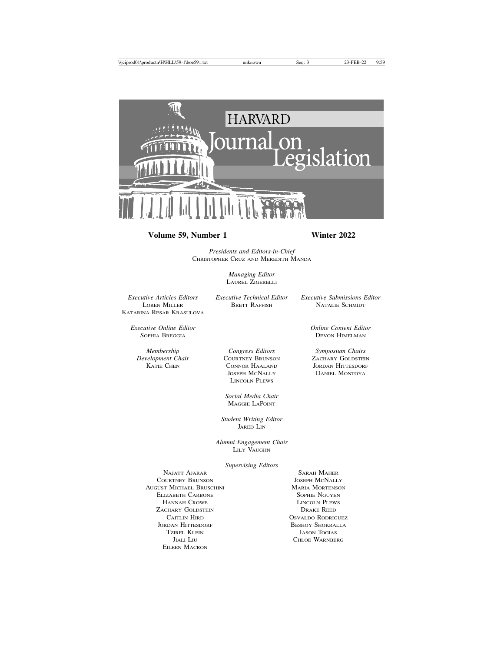

## **Volume 59, Number 1 Winter 2022**

*Presidents and Editors-in-Chief* CHRISTOPHER CRUZ AND MEREDITH MANDA

> *Managing Editor* LAUREL ZIGERELLI

*Executive Articles Editors Executive Technical Editor Executive Submissions Editor* KATARINA RESAR KRASULOVA

NATALIE SCHMIDT

DEVON HIMELMAN

*Executive Online Editor Online Content Editor*

*Membership Congress Editors Symposium Chairs*

*Delopment Chair* COURTNEY BRUNSON **ZACHARY GOLDSTEIN**<br> **EXAMPLE CONSON CONNOR HAALAND** JORDAN HITTESDORF CONNOR HAALAND JORDAN HITTESDORF JOSEPH MCNALLY DANIEL MONTOYA LINCOLN PLEWS

> *Social Media Chair* MAGGIE LAPOINT

*Student Writing Editor* JARED LIN

*Alumni Engagement Chair* LILY VAUGHN

*Supervising Editors*

NAJATT AJARAR SARAH MAHER COURTNEY BRUNSON JOSEPH MCNALLY AUGUST MICHAEL BRUSCHINI MARIA MARIA MORTENSON **ELIZABETH CARBONE** SOPHIE NGUYEN HANNAH CROWE LINCOLN PLEWS ZACHARY GOLDSTEIN DRAKE REED CAITLIN HIRD **CALCULUS** OSVALDO RODRIGUEZ JORDAN HITTESDORF BESHOY SHOKRALLA TZIREL KLEIN IASON TOGIAS EILEEN MACRON

JIALI LIU CHLOE WARNBERG